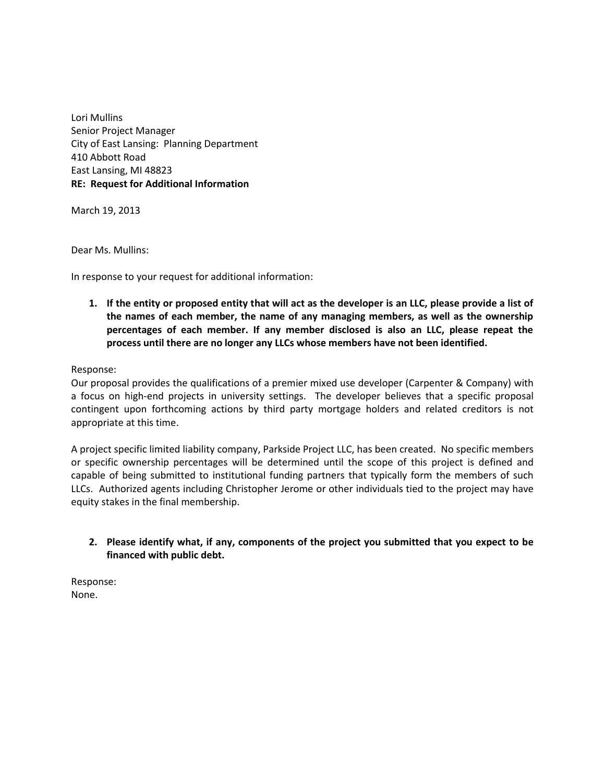Lori Mullins Senior Project Manager City of East Lansing: Planning Department 410 Abbott Road East Lansing, MI 48823 **RE: Request for Additional Information**

March 19, 2013

Dear Ms. Mullins:

In response to your request for additional information:

**1. If the entity or proposed entity that will act as the developer is an LLC, please provide a list of the names of each member, the name of any managing members, as well as the ownership percentages of each member. If any member disclosed is also an LLC, please repeat the process until there are no longer any LLCs whose members have not been identified.**

#### Response:

Our proposal provides the qualifications of a premier mixed use developer (Carpenter & Company) with a focus on high-end projects in university settings. The developer believes that a specific proposal contingent upon forthcoming actions by third party mortgage holders and related creditors is not appropriate at this time.

A project specific limited liability company, Parkside Project LLC, has been created. No specific members or specific ownership percentages will be determined until the scope of this project is defined and capable of being submitted to institutional funding partners that typically form the members of such LLCs. Authorized agents including Christopher Jerome or other individuals tied to the project may have equity stakes in the final membership.

## **2. Please identify what, if any, components of the project you submitted that you expect to be financed with public debt.**

Response: None.